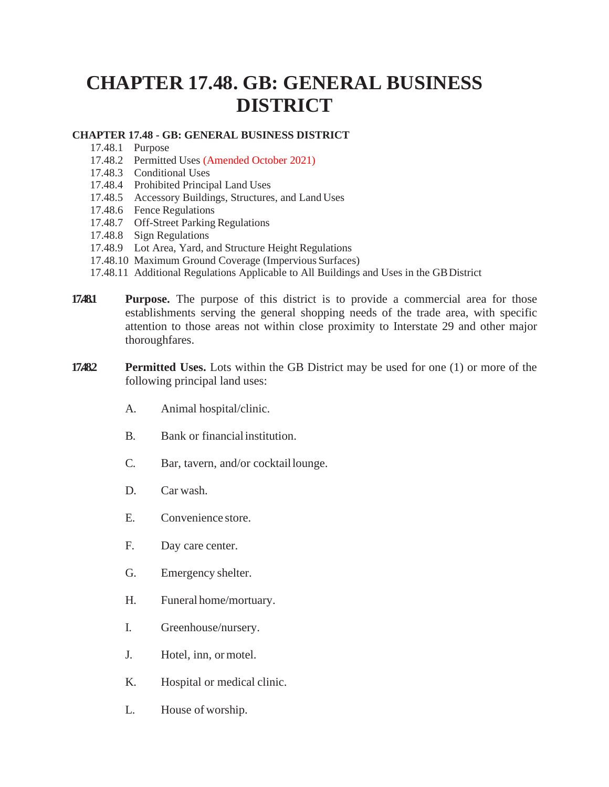## **CHAPTER 17.48. GB: GENERAL BUSINESS DISTRICT**

## **CHAPTER 17.48 - GB: GENERAL BUSINESS DISTRICT**

- 17.48.1 Purpose
- 17.48.2 Permitted Uses (Amended October 2021)
- 17.48.3 Conditional Uses
- 17.48.4 Prohibited Principal Land Uses
- 17.48.5 Accessory Buildings, Structures, and Land Uses
- 17.48.6 Fence Regulations
- 17.48.7 Off-Street Parking Regulations
- 17.48.8 Sign Regulations
- 17.48.9 Lot Area, Yard, and Structure Height Regulations
- 17.48.10 Maximum Ground Coverage (Impervious Surfaces)
- 17.48.11 Additional Regulations Applicable to All Buildings and Uses in the GBDistrict
- **17.48.1 Purpose.** The purpose of this district is to provide a commercial area for those establishments serving the general shopping needs of the trade area, with specific attention to those areas not within close proximity to Interstate 29 and other major thoroughfares.
- **17.48.2 Permitted Uses.** Lots within the GB District may be used for one (1) or more of the following principal land uses:
	- A. Animal hospital/clinic.
	- B. Bank or financialinstitution.
	- C. Bar, tavern, and/or cocktaillounge.
	- D. Car wash.
	- E. Convenience store.
	- F. Day care center.
	- G. Emergency shelter.
	- H. Funeral home/mortuary.
	- I. Greenhouse/nursery.
	- J. Hotel, inn, ormotel.
	- K. Hospital or medical clinic.
	- L. House of worship.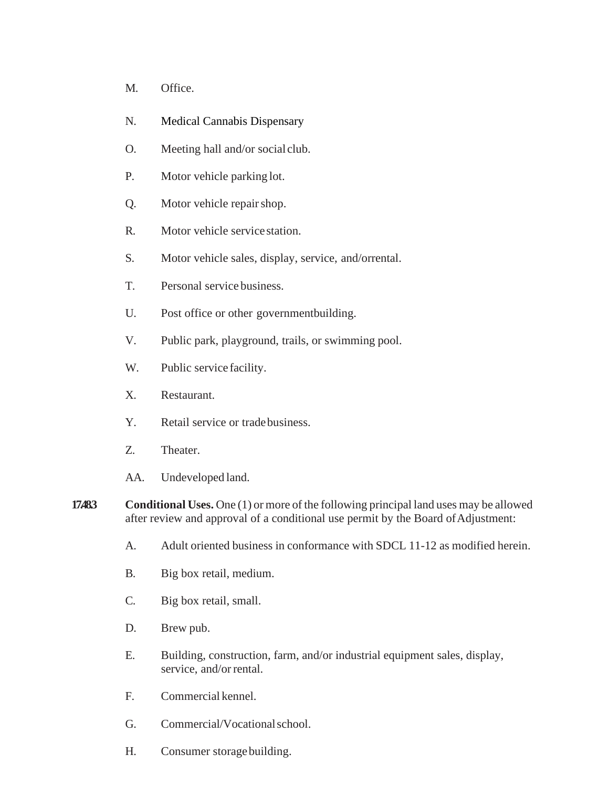- M. Office.
- N. Medical Cannabis Dispensary
- O. Meeting hall and/or social club.
- P. Motor vehicle parking lot.
- Q. Motor vehicle repairshop.
- R. Motor vehicle service station.
- S. Motor vehicle sales, display, service, and/orrental.
- T. Personal service business.
- U. Post office or other governmentbuilding.
- V. Public park, playground, trails, or swimming pool.
- W. Public service facility.
- X. Restaurant.
- Y. Retail service or tradebusiness.
- Z. Theater.
- AA. Undeveloped land.
- **17.48.3 Conditional Uses.** One (1) or more of the following principal land uses may be allowed after review and approval of a conditional use permit by the Board of Adjustment:
	- A. Adult oriented business in conformance with SDCL 11-12 as modified herein.
	- B. Big box retail, medium.
	- C. Big box retail, small.
	- D. Brew pub.
	- E. Building, construction, farm, and/or industrial equipment sales, display, service, and/or rental.
	- F. Commercial kennel.
	- G. Commercial/Vocationalschool.
	- H. Consumer storagebuilding.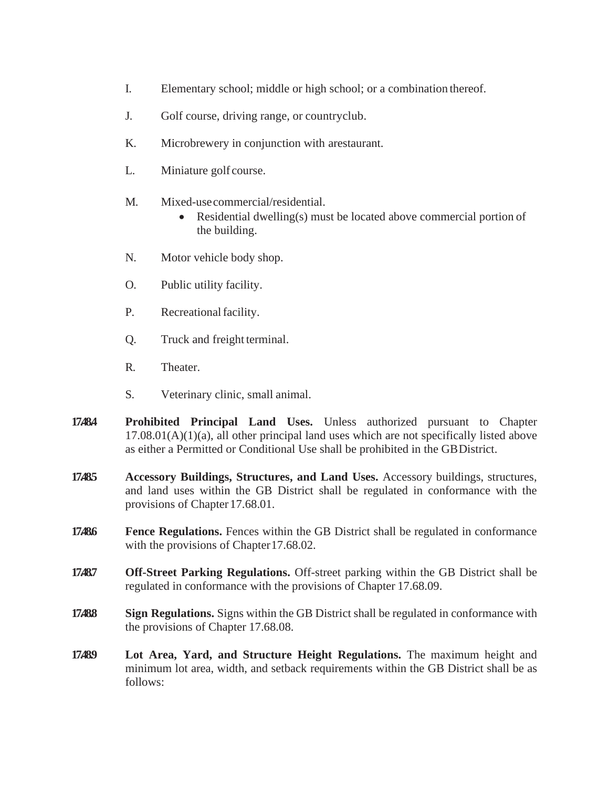- I. Elementary school; middle or high school; or a combination thereof.
- J. Golf course, driving range, or countryclub.
- K. Microbrewery in conjunction with arestaurant.
- L. Miniature golf course.
- M. Mixed-usecommercial/residential.
	- Residential dwelling(s) must be located above commercial portion of the building.
- N. Motor vehicle body shop.
- O. Public utility facility.
- P. Recreational facility.
- Q. Truck and freight terminal.
- R. Theater.
- S. Veterinary clinic, small animal.
- **17.48.4 Prohibited Principal Land Uses.** Unless authorized pursuant to Chapter  $17.08.01(A)(1)(a)$ , all other principal land uses which are not specifically listed above as either a Permitted or Conditional Use shall be prohibited in the GBDistrict.
- **17.48.5 Accessory Buildings, Structures, and Land Uses.** Accessory buildings, structures, and land uses within the GB District shall be regulated in conformance with the provisions of Chapter 17.68.01.
- **17.486 Fence Regulations.** Fences within the GB District shall be regulated in conformance with the provisions of Chapter 17.68.02.
- **17.48.7 Off-Street Parking Regulations.** Off-street parking within the GB District shall be regulated in conformance with the provisions of Chapter 17.68.09.
- **17.48.8 Sign Regulations.** Signs within the GB District shall be regulated in conformance with the provisions of Chapter 17.68.08.
- **17.48.9 Lot Area, Yard, and Structure Height Regulations.** The maximum height and minimum lot area, width, and setback requirements within the GB District shall be as follows: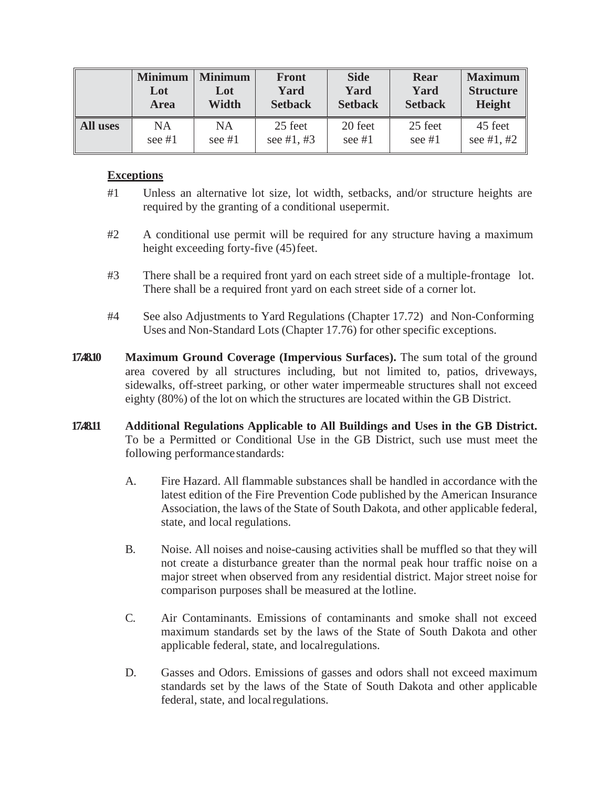|                 | <b>Minimum</b> | <b>Minimum</b> | <b>Front</b>   | <b>Side</b>    | <b>Rear</b>    | <b>Maximum</b>   |
|-----------------|----------------|----------------|----------------|----------------|----------------|------------------|
|                 | Lot            | Lot            | Yard           | Yard           | Yard           | <b>Structure</b> |
|                 | <b>Area</b>    | Width          | <b>Setback</b> | <b>Setback</b> | <b>Setback</b> | <b>Height</b>    |
| <b>All uses</b> | <b>NA</b>      | <b>NA</b>      | 25 feet        | 20 feet        | 25 feet        | 45 feet          |
|                 | see $#1$       | see $#1$       | see #1, #3     | see $#1$       | see $#1$       | see #1, #2       |

## **Exceptions**

- #1 Unless an alternative lot size, lot width, setbacks, and/or structure heights are required by the granting of a conditional usepermit.
- #2 A conditional use permit will be required for any structure having a maximum height exceeding forty-five (45)feet.
- #3 There shall be a required front yard on each street side of a multiple-frontage lot. There shall be a required front yard on each street side of a corner lot.
- #4 See also Adjustments to Yard Regulations (Chapter 17.72) and Non-Conforming Uses and Non-Standard Lots (Chapter 17.76) for other specific exceptions.
- **17.48.10 Maximum Ground Coverage (Impervious Surfaces).** The sum total of the ground area covered by all structures including, but not limited to, patios, driveways, sidewalks, off-street parking, or other water impermeable structures shall not exceed eighty (80%) of the lot on which the structures are located within the GB District.
- **17.48.11 Additional Regulations Applicable to All Buildings and Uses in the GB District.**  To be a Permitted or Conditional Use in the GB District, such use must meet the following performancestandards:
	- A. Fire Hazard. All flammable substances shall be handled in accordance with the latest edition of the Fire Prevention Code published by the American Insurance Association, the laws of the State of South Dakota, and other applicable federal, state, and local regulations.
	- B. Noise. All noises and noise-causing activities shall be muffled so that they will not create a disturbance greater than the normal peak hour traffic noise on a major street when observed from any residential district. Major street noise for comparison purposes shall be measured at the lotline.
	- C. Air Contaminants. Emissions of contaminants and smoke shall not exceed maximum standards set by the laws of the State of South Dakota and other applicable federal, state, and localregulations.
	- D. Gasses and Odors. Emissions of gasses and odors shall not exceed maximum standards set by the laws of the State of South Dakota and other applicable federal, state, and localregulations.